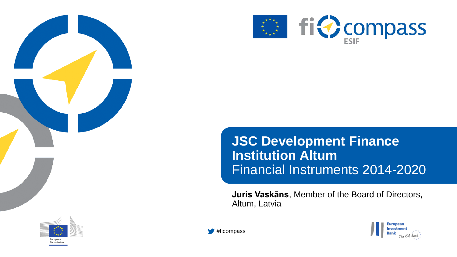



### **JSC Development Finance Institution Altum** Financial Instruments 2014-2020

**Juris Vaskāns**, Member of the Board of Directors, Altum, Latvia





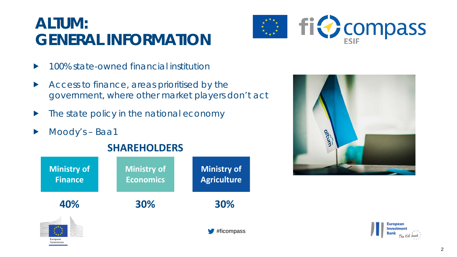### **ALTUM: GENERAL INFORMATION**



- ▶ 100% state-owned financial institution
- Access to finance, areas prioritised by the government, where other market players don't act
- $\blacktriangleright$  The state policy in the national economy
- Moody's Baa1

Commissio





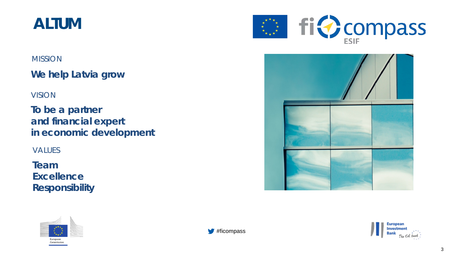### **ALTUM**

#### **MISSION**

**We help Latvia grow**

#### VISION

**To be a partner and financial expert in economic development**

VALUES

**Team Excellence Responsibility**









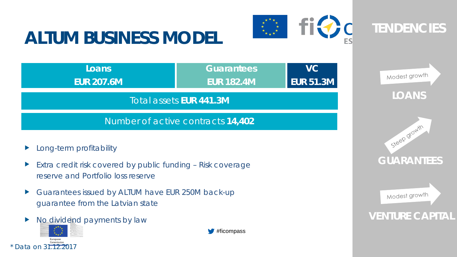# **ALTUM BUSINESS MODEL**





**VENTURE CAPITAL**

Modest growth

**GUARANTEES**



- Extra credit risk covered by public funding Risk coverage reserve and Portfolio loss reserve
- Guarantees issued by ALTUM have EUR 250M back-up guarantee from the Latvian state
- No dividend payments by law



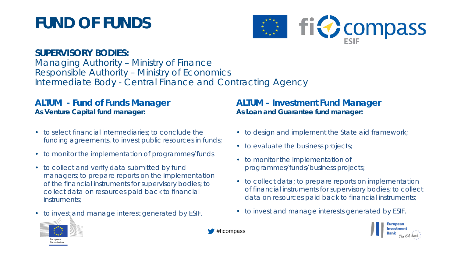## **FUND OF FUNDS**



#### **SUPERVISORY BODIES:**

Managing Authority – Ministry of Finance Responsible Authority – Ministry of Economics Intermediate Body - Central Finance and Contracting Agency

#### **ALTUM - Fund of Funds Manager**  *As Venture Capital fund manager:*

- to select financial intermediaries; to conclude the funding agreements, to invest public resources in funds;
- to monitor the implementation of programmes/funds
- to collect and verify data submitted by fund managers; to prepare reports on the implementation of the financial instruments for supervisory bodies; to collect data on resources paid back to financial instruments;
- to invest and manage interest generated by ESIF.

#### **ALTUM – Investment Fund Manager** *As Loan and Guarantee fund manager:*

- to design and implement the State aid framework;
- to evaluate the business projects;
- to monitor the implementation of programmes/funds/business projects;
- to collect data; to prepare reports on implementation of financial instruments for supervisory bodies; to collect data on resources paid back to financial instruments;
- to invest and manage interests generated by ESIF.





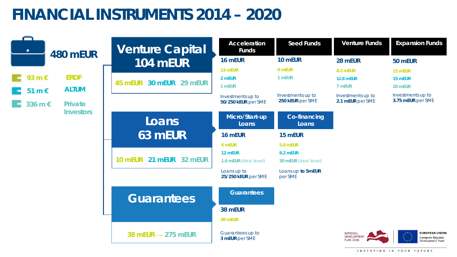## **FINANCIAL INSTRUMENTS 2014 – 2020**

| ۰<br><b>480 mEUR</b>                                     | <b>Venture Capital</b>         | <b>Acceleration</b><br><b>Funds</b>      | <b>Seed Funds</b>                     | <b>Venture Funds</b>                                      | <b>Expansion Funds</b>                                         |
|----------------------------------------------------------|--------------------------------|------------------------------------------|---------------------------------------|-----------------------------------------------------------|----------------------------------------------------------------|
|                                                          | <b>104 mEUR</b>                | 16 mEUR                                  | 10 mEUR                               | 28 mEUR                                                   | 50 mEUR                                                        |
| <b>ERDF</b><br>93 m €<br><b>ALTUM</b><br>51 m $\epsilon$ | 30 mEUR 29 mEUR<br>45 mEUR     | 13 mEUR<br>2 mEUR<br>1 mEUR              | 9 mEUR<br>1 mEUR                      | 8.2 mEUR<br><b>12.8 mEUR</b><br>7 mEUR                    | 15 mEUR<br>15 mEUR<br>20 mEUR                                  |
| 336 m €<br><b>Private</b><br><b>Investors</b>            |                                | Investments up to<br>50/250 kEUR per SME | Investments up to<br>250 kEUR per SME | Investments up to<br>2.1 mEUR per SME                     | Investments up to<br>3.75 mEUR per SME                         |
|                                                          | Loans                          | Micro/Start-up<br>Loans                  | <b>Co-financing</b><br>Loans          |                                                           |                                                                |
|                                                          | 63 mEUR                        | 16 mEUR<br>4 mEUR                        | 15 mEUR<br>5.8 mEUR                   |                                                           |                                                                |
|                                                          | 10 mEUR 21 mEUR 32 mEUR        | 12 mEUR<br>1.6 mEUR (deal level)         | 9.2 mEUR<br>30 mEUR (deal level)      |                                                           |                                                                |
|                                                          |                                | Loans up to<br>25/250 kEUR per SME       | Loans up to 5mEUR<br>per SME          |                                                           |                                                                |
|                                                          | <b>Guarantees</b>              | <b>Guarantees</b>                        |                                       |                                                           |                                                                |
|                                                          |                                | 38 mEUR                                  |                                       |                                                           |                                                                |
|                                                          |                                | 38 mEUR                                  |                                       |                                                           |                                                                |
|                                                          | 38 mEUR $\rightarrow$ 275 mEUR | Guarantees up to<br>3 mEUR per SME       |                                       | <b>NATIONAL</b><br><b>DEVELOPMENT</b><br><b>PLAN 2020</b> | <b>EUROPEAN UNION</b><br>European Regional<br>Development Fund |
|                                                          |                                |                                          |                                       |                                                           | INVESTING IN YOUR FUTURE                                       |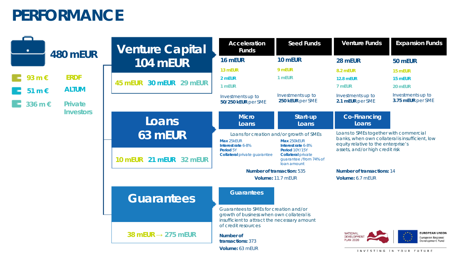### **PERFORMANCE**

| ٠                | <b>480 mEUR</b> | <b>Venture Capital</b>                                                                                                                                     | <b>Acceleration</b><br><b>Funds</b>              | <b>Seed Funds</b>                                                                                                                | <b>Venture Funds</b>                                      | <b>Expansion Funds</b>                                         |  |
|------------------|-----------------|------------------------------------------------------------------------------------------------------------------------------------------------------------|--------------------------------------------------|----------------------------------------------------------------------------------------------------------------------------------|-----------------------------------------------------------|----------------------------------------------------------------|--|
|                  |                 | <b>104 mEUR</b>                                                                                                                                            | 16 mEUR                                          | 10 mEUR                                                                                                                          | 28 mEUR                                                   | 50 mEUR                                                        |  |
|                  |                 |                                                                                                                                                            | 13 mEUR                                          | 9 mEUR                                                                                                                           | <b>8.2 mEUR</b>                                           | 15 mEUR                                                        |  |
| 93 m €           | <b>ERDF</b>     | 30 mEUR 29 mEUR<br>45 mEUR                                                                                                                                 | 2 mEUR<br>1 mEUR                                 | 1 mEUR                                                                                                                           | <b>12.8 mEUR</b><br>7 mEUR                                | 15 mEUR<br>20 mEUR                                             |  |
| 51 m $\epsilon$  | <b>ALTUM</b>    |                                                                                                                                                            | Investments up to                                | Investments up to                                                                                                                | Investments up to                                         | Investments up to                                              |  |
| 336 m €          | <b>Private</b>  |                                                                                                                                                            | 50/250 kEUR per SME                              | 250 kEUR per SME                                                                                                                 | 2.1 mEUR per SME                                          | 3.75 mEUR per SME                                              |  |
| <b>Investors</b> |                 | Loans                                                                                                                                                      | <b>Micro</b><br>Loans                            | Start-up<br>Loans                                                                                                                | <b>Co-Financing</b><br>Loans                              |                                                                |  |
|                  | 63 mEUR         | Loans for creation and/or growth of SMEs<br>Max 250kEUR<br>Max 25kEUR<br>Interest rate 6-8%<br>Interest rate 6-8%                                          |                                                  | Loans to SMEs together with commercial<br>banks, when own collateral is insufficient, low<br>equity relative to the enterprise's |                                                           |                                                                |  |
|                  |                 | 10 mEUR 21 mEUR 32 mEUR                                                                                                                                    | Period 5Y<br><b>Collateral private guarantee</b> | Period 10Y/15Y<br><b>Collateral private</b><br>guarantee /from 74% of<br>loan amount                                             | assets, and/or high credit risk                           |                                                                |  |
|                  |                 |                                                                                                                                                            | <b>Number of transaction: 535</b>                |                                                                                                                                  | <b>Number of transactions: 14</b>                         |                                                                |  |
|                  |                 |                                                                                                                                                            | Volume: 11.7 mEUR                                | Volume: 6.7 mEUR                                                                                                                 |                                                           |                                                                |  |
|                  |                 | <b>Guarantees</b>                                                                                                                                          | <b>Guarantees</b>                                |                                                                                                                                  |                                                           |                                                                |  |
|                  |                 | Guarantees to SMEs for creation and/or<br>growth of business when own collateral is<br>insufficient to attract the necessary amount<br>of credit resources |                                                  |                                                                                                                                  |                                                           |                                                                |  |
|                  |                 | 38 mEUR $\rightarrow$ 275 mEUR                                                                                                                             | Number of<br>transactions: 373                   |                                                                                                                                  | <b>NATIONAL</b><br><b>DEVELOPMENT</b><br><b>PLAN 2020</b> | <b>EUROPEAN UNION</b><br>European Regional<br>Development Fund |  |
|                  |                 |                                                                                                                                                            | Volume: 63 mEUR                                  |                                                                                                                                  | INVESTING IN YOUR FUTURE                                  |                                                                |  |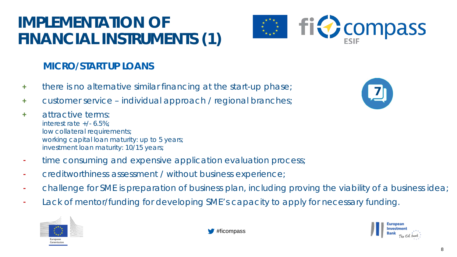## **IMPLEMENTATION OF FINANCIAL INSTRUMENTS (1)**



#### **MICRO/START UP LOANS**

- **+** there is no alternative similar financing at the start-up phase;
- **+** customer service individual approach / regional branches;
- **+** attractive terms: interest rate +/- 6.5%; low collateral requirements; working capital loan maturity: up to 5 years; investment loan maturity: 10/15 years;
- **-** time consuming and expensive application evaluation process;
- **-** creditworthiness assessment / without business experience;
- **-** challenge for SME is preparation of business plan, including proving the viability of a business idea;
- **-** Lack of mentor/funding for developing SME's capacity to apply for necessary funding.





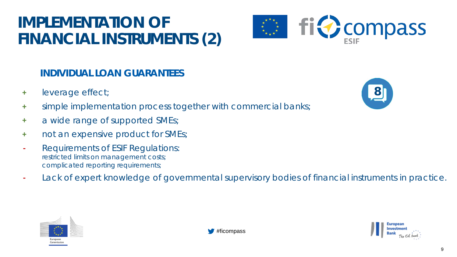## **IMPLEMENTATION OF FINANCIAL INSTRUMENTS (2)**



#### **INDIVIDUAL LOAN GUARANTEES**

- **+** leverage effect;
- **+** simple implementation process together with commercial banks;
- **+** a wide range of supported SMEs;
- **+** not an expensive product for SMEs;
- **-** Requirements of ESIF Regulations: restricted limits on management costs; complicated reporting requirements;
- **-** Lack of expert knowledge of governmental supervisory bodies of financial instruments in practice.







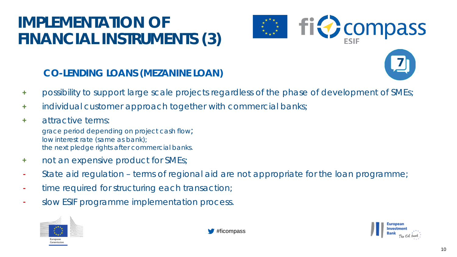## **IMPLEMENTATION OF FINANCIAL INSTRUMENTS (3)**





#### **CO-LENDING LOANS (MEZANINE LOAN)**

- **+** possibility to support large scale projects regardless of the phase of development of SMEs;
- **+** individual customer approach together with commercial banks;
- **+** attractive terms: grace period depending on project cash flow; low interest rate (same as bank); the next pledge rights after commercial banks.
- **+** not an expensive product for SMEs;
- **-** State aid regulation terms of regional aid are not appropriate for the loan programme;
- **-** time required for structuring each transaction;
- **-** slow ESIF programme implementation process.





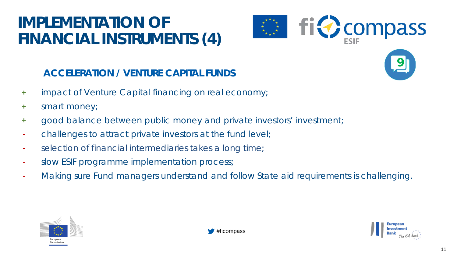## **IMPLEMENTATION OF FINANCIAL INSTRUMENTS (4)**







- **+** impact of Venture Capital financing on real economy;
- **+** smart money;
- **+** good balance between public money and private investors' investment;
- **-** challenges to attract private investors at the fund level;
- **-** selection of financial intermediaries takes a long time;
- **-** slow ESIF programme implementation process;
- **-** Making sure Fund managers understand and follow State aid requirements is challenging.



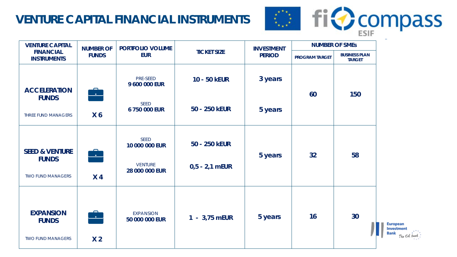#### **VENTURE CAPITAL FINANCIAL INSTRUMENTS**



The EU bank

| <b>VENTURE CAPITAL</b>                                                | <b>NUMBER OF</b>                 | PORTFOLIO VOLUME                                           |                                   | <b>INVESTMENT</b><br><b>TICKET SIZE</b><br><b>PERIOD</b> | <b>NUMBER OF SMES</b> |                                       |                                                |
|-----------------------------------------------------------------------|----------------------------------|------------------------------------------------------------|-----------------------------------|----------------------------------------------------------|-----------------------|---------------------------------------|------------------------------------------------|
| <b>FINANCIAL</b><br><b>INSTRUMENTS</b>                                | <b>FUNDS</b>                     | <b>EUR</b>                                                 |                                   |                                                          | <b>PROGRAM TARGET</b> | <b>BUSINESS PLAN</b><br><b>TARGET</b> |                                                |
| <b>ACCELERATION</b>                                                   | <u>r.</u>                        | PRE-SEED<br>9 600 000 EUR                                  | 10 - 50 KEUR                      | 3 years                                                  | 60                    | 150                                   |                                                |
| <b>FUNDS</b><br>THREE FUND MANAGERS                                   | X <sub>6</sub>                   | <b>SEED</b><br>6 750 000 EUR                               | 50 - 250 KEUR                     | 5 years                                                  |                       |                                       |                                                |
| <b>SEED &amp; VENTURE</b><br><b>FUNDS</b><br><b>TWO FUND MANAGERS</b> | $\blacksquare$<br>X <sub>4</sub> | SEED<br>10 000 000 EUR<br><b>VENTURE</b><br>28 000 000 EUR | 50 - 250 KEUR<br>$0,5 - 2,1$ mEUR | 5 years                                                  | 32 <sub>2</sub>       | 58                                    |                                                |
| <b>EXPANSION</b><br><b>FUNDS</b><br><b>TWO FUND MANAGERS</b>          | <u>r.</u><br>.<br>X <sub>2</sub> | <b>EXPANSION</b><br>50 000 000 EUR                         | 1 - 3,75 mEUR                     | 5 years                                                  | 16                    | 30                                    | <b>European</b><br>Investment<br>Bank<br>The C |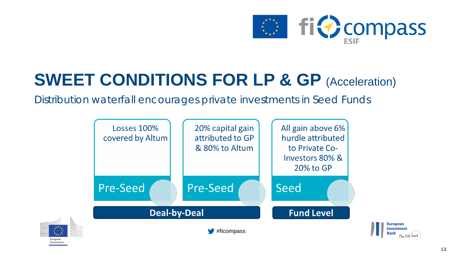

# **SWEET CONDITIONS FOR LP & GP (Acceleration)**

Distribution waterfall encourages private investments in Seed Funds

Commissio



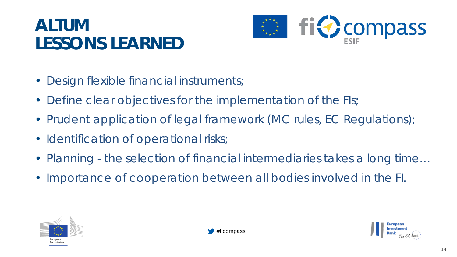# **ALTUM LESSONS LEARNED**



- Design flexible financial instruments;
- Define clear objectives for the implementation of the FIs;
- Prudent application of legal framework (MC rules, EC Regulations);
- Identification of operational risks;
- Planning the selection of financial intermediaries takes a long time…
- Importance of cooperation between all bodies involved in the FI.